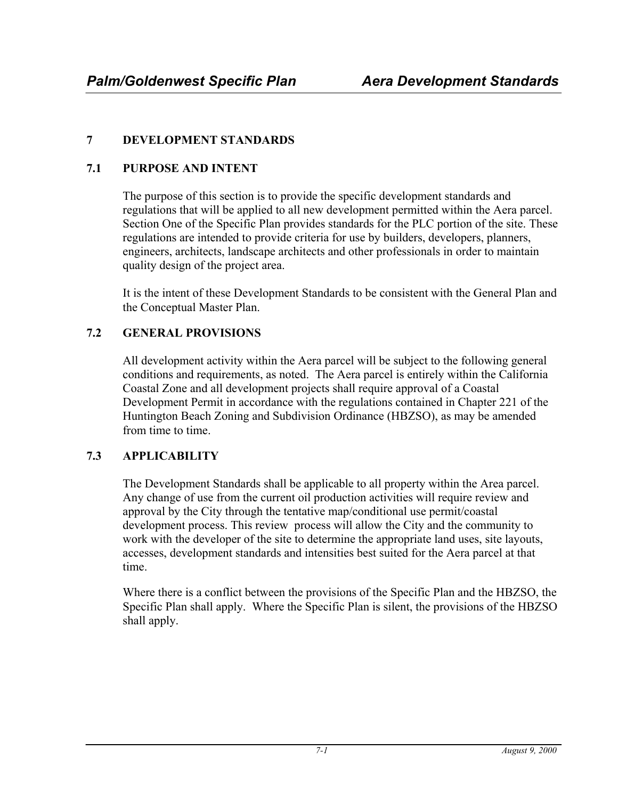## **7 DEVELOPMENT STANDARDS**

## **7.1 PURPOSE AND INTENT**

The purpose of this section is to provide the specific development standards and regulations that will be applied to all new development permitted within the Aera parcel. Section One of the Specific Plan provides standards for the PLC portion of the site. These regulations are intended to provide criteria for use by builders, developers, planners, engineers, architects, landscape architects and other professionals in order to maintain quality design of the project area.

It is the intent of these Development Standards to be consistent with the General Plan and the Conceptual Master Plan.

# **7.2 GENERAL PROVISIONS**

All development activity within the Aera parcel will be subject to the following general conditions and requirements, as noted. The Aera parcel is entirely within the California Coastal Zone and all development projects shall require approval of a Coastal Development Permit in accordance with the regulations contained in Chapter 221 of the Huntington Beach Zoning and Subdivision Ordinance (HBZSO), as may be amended from time to time.

## **7.3 APPLICABILITY**

The Development Standards shall be applicable to all property within the Area parcel. Any change of use from the current oil production activities will require review and approval by the City through the tentative map/conditional use permit/coastal development process. This review process will allow the City and the community to work with the developer of the site to determine the appropriate land uses, site layouts, accesses, development standards and intensities best suited for the Aera parcel at that time.

Where there is a conflict between the provisions of the Specific Plan and the HBZSO, the Specific Plan shall apply. Where the Specific Plan is silent, the provisions of the HBZSO shall apply.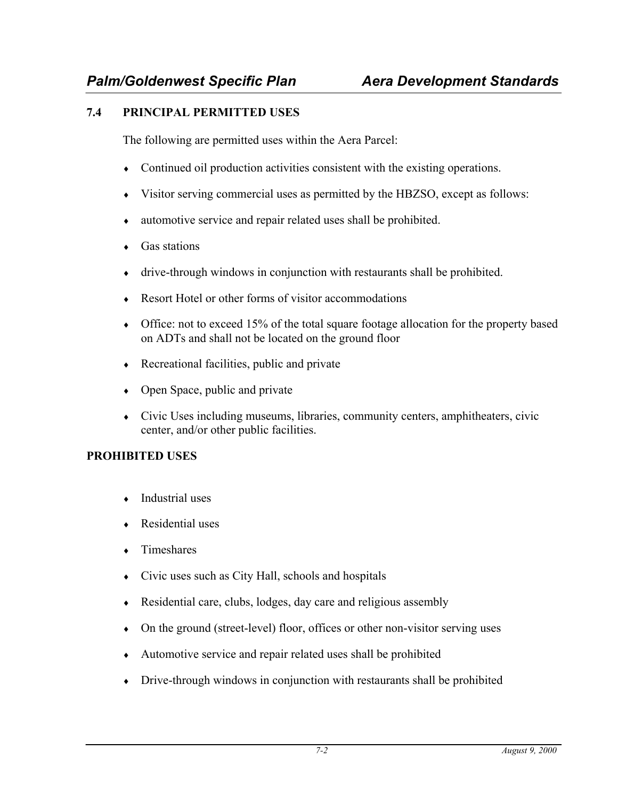#### **7.4 PRINCIPAL PERMITTED USES**

The following are permitted uses within the Aera Parcel:

- ♦ Continued oil production activities consistent with the existing operations.
- ♦ Visitor serving commercial uses as permitted by the HBZSO, except as follows:
- ♦ automotive service and repair related uses shall be prohibited.
- Gas stations
- ♦ drive-through windows in conjunction with restaurants shall be prohibited.
- ♦ Resort Hotel or other forms of visitor accommodations
- Office: not to exceed 15% of the total square footage allocation for the property based on ADTs and shall not be located on the ground floor
- ♦ Recreational facilities, public and private
- Open Space, public and private
- ♦ Civic Uses including museums, libraries, community centers, amphitheaters, civic center, and/or other public facilities.

#### **PROHIBITED USES**

- $\bullet$  Industrial uses
- Residential uses
- ♦ Timeshares
- ♦ Civic uses such as City Hall, schools and hospitals
- ♦ Residential care, clubs, lodges, day care and religious assembly
- ♦ On the ground (street-level) floor, offices or other non-visitor serving uses
- ♦ Automotive service and repair related uses shall be prohibited
- ♦ Drive-through windows in conjunction with restaurants shall be prohibited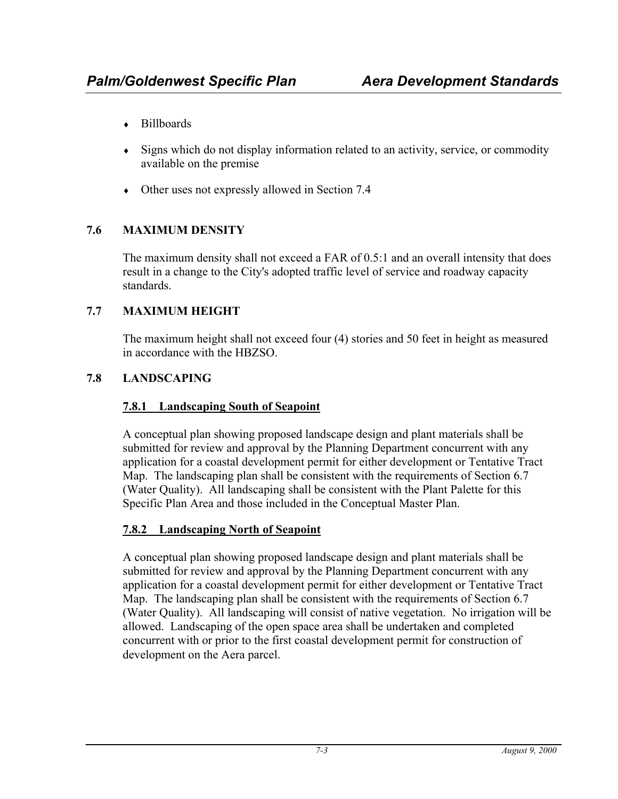- ♦ Billboards
- ♦ Signs which do not display information related to an activity, service, or commodity available on the premise
- ♦ Other uses not expressly allowed in Section 7.4

## **7.6 MAXIMUM DENSITY**

The maximum density shall not exceed a FAR of 0.5:1 and an overall intensity that does result in a change to the City's adopted traffic level of service and roadway capacity standards.

## **7.7 MAXIMUM HEIGHT**

The maximum height shall not exceed four (4) stories and 50 feet in height as measured in accordance with the HBZSO.

## **7.8 LANDSCAPING**

## **7.8.1 Landscaping South of Seapoint**

A conceptual plan showing proposed landscape design and plant materials shall be submitted for review and approval by the Planning Department concurrent with any application for a coastal development permit for either development or Tentative Tract Map. The landscaping plan shall be consistent with the requirements of Section 6.7 (Water Quality). All landscaping shall be consistent with the Plant Palette for this Specific Plan Area and those included in the Conceptual Master Plan.

# **7.8.2 Landscaping North of Seapoint**

A conceptual plan showing proposed landscape design and plant materials shall be submitted for review and approval by the Planning Department concurrent with any application for a coastal development permit for either development or Tentative Tract Map. The landscaping plan shall be consistent with the requirements of Section 6.7 (Water Quality). All landscaping will consist of native vegetation. No irrigation will be allowed. Landscaping of the open space area shall be undertaken and completed concurrent with or prior to the first coastal development permit for construction of development on the Aera parcel.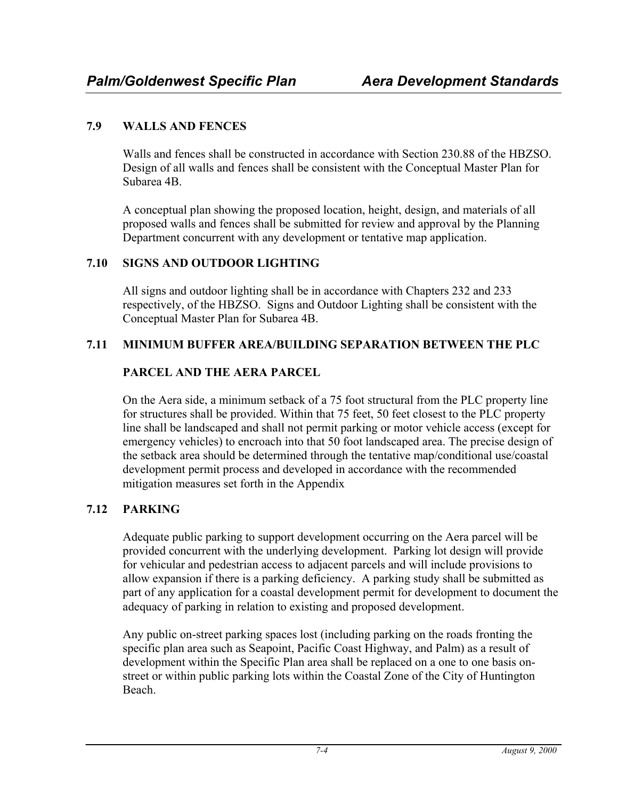## **7.9 WALLS AND FENCES**

Walls and fences shall be constructed in accordance with Section 230.88 of the HBZSO. Design of all walls and fences shall be consistent with the Conceptual Master Plan for Subarea 4B.

A conceptual plan showing the proposed location, height, design, and materials of all proposed walls and fences shall be submitted for review and approval by the Planning Department concurrent with any development or tentative map application.

## **7.10 SIGNS AND OUTDOOR LIGHTING**

All signs and outdoor lighting shall be in accordance with Chapters 232 and 233 respectively, of the HBZSO. Signs and Outdoor Lighting shall be consistent with the Conceptual Master Plan for Subarea 4B.

## **7.11 MINIMUM BUFFER AREA/BUILDING SEPARATION BETWEEN THE PLC**

## **PARCEL AND THE AERA PARCEL**

On the Aera side, a minimum setback of a 75 foot structural from the PLC property line for structures shall be provided. Within that 75 feet, 50 feet closest to the PLC property line shall be landscaped and shall not permit parking or motor vehicle access (except for emergency vehicles) to encroach into that 50 foot landscaped area. The precise design of the setback area should be determined through the tentative map/conditional use/coastal development permit process and developed in accordance with the recommended mitigation measures set forth in the Appendix

## **7.12 PARKING**

Adequate public parking to support development occurring on the Aera parcel will be provided concurrent with the underlying development. Parking lot design will provide for vehicular and pedestrian access to adjacent parcels and will include provisions to allow expansion if there is a parking deficiency. A parking study shall be submitted as part of any application for a coastal development permit for development to document the adequacy of parking in relation to existing and proposed development.

Any public on-street parking spaces lost (including parking on the roads fronting the specific plan area such as Seapoint, Pacific Coast Highway, and Palm) as a result of development within the Specific Plan area shall be replaced on a one to one basis onstreet or within public parking lots within the Coastal Zone of the City of Huntington Beach.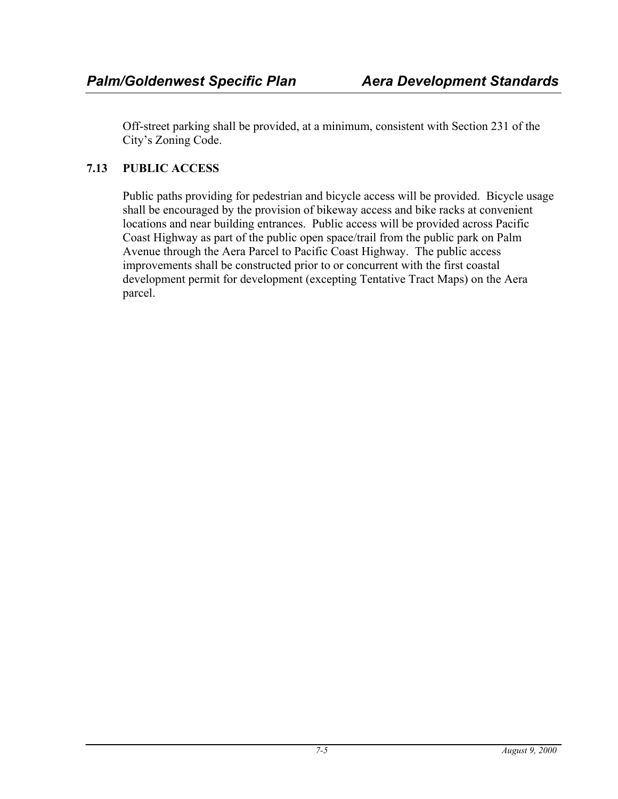Off-street parking shall be provided, at a minimum, consistent with Section 231 of the City's Zoning Code.

## **7.13 PUBLIC ACCESS**

Public paths providing for pedestrian and bicycle access will be provided. Bicycle usage shall be encouraged by the provision of bikeway access and bike racks at convenient locations and near building entrances. Public access will be provided across Pacific Coast Highway as part of the public open space/trail from the public park on Palm Avenue through the Aera Parcel to Pacific Coast Highway. The public access improvements shall be constructed prior to or concurrent with the first coastal development permit for development (excepting Tentative Tract Maps) on the Aera parcel.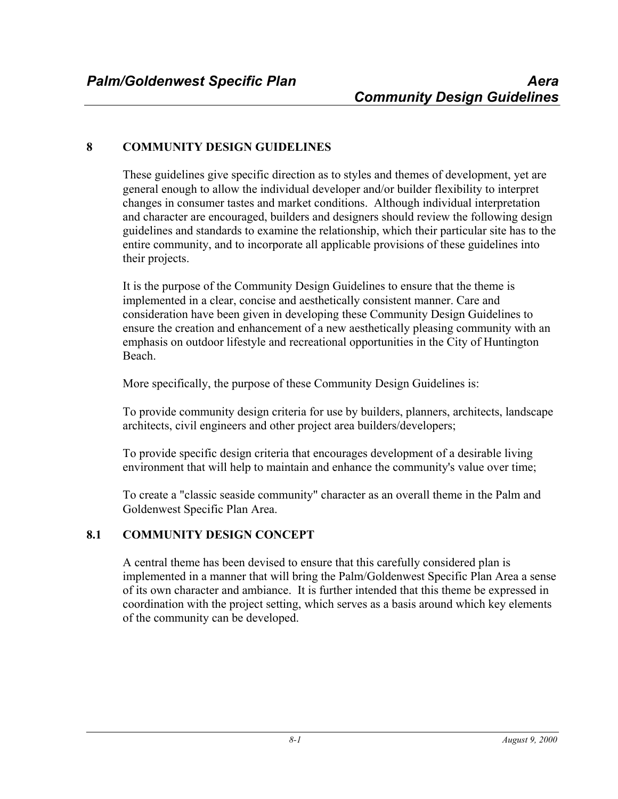## **8 COMMUNITY DESIGN GUIDELINES**

These guidelines give specific direction as to styles and themes of development, yet are general enough to allow the individual developer and/or builder flexibility to interpret changes in consumer tastes and market conditions. Although individual interpretation and character are encouraged, builders and designers should review the following design guidelines and standards to examine the relationship, which their particular site has to the entire community, and to incorporate all applicable provisions of these guidelines into their projects.

It is the purpose of the Community Design Guidelines to ensure that the theme is implemented in a clear, concise and aesthetically consistent manner. Care and consideration have been given in developing these Community Design Guidelines to ensure the creation and enhancement of a new aesthetically pleasing community with an emphasis on outdoor lifestyle and recreational opportunities in the City of Huntington Beach.

More specifically, the purpose of these Community Design Guidelines is:

To provide community design criteria for use by builders, planners, architects, landscape architects, civil engineers and other project area builders/developers;

To provide specific design criteria that encourages development of a desirable living environment that will help to maintain and enhance the community's value over time;

To create a "classic seaside community" character as an overall theme in the Palm and Goldenwest Specific Plan Area.

#### **8.1 COMMUNITY DESIGN CONCEPT**

A central theme has been devised to ensure that this carefully considered plan is implemented in a manner that will bring the Palm/Goldenwest Specific Plan Area a sense of its own character and ambiance. It is further intended that this theme be expressed in coordination with the project setting, which serves as a basis around which key elements of the community can be developed.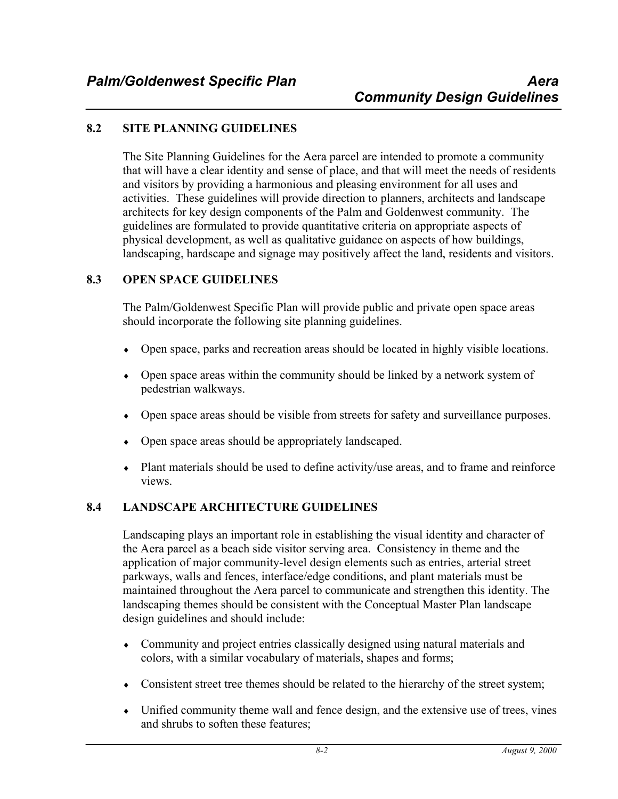#### **8.2 SITE PLANNING GUIDELINES**

The Site Planning Guidelines for the Aera parcel are intended to promote a community that will have a clear identity and sense of place, and that will meet the needs of residents and visitors by providing a harmonious and pleasing environment for all uses and activities. These guidelines will provide direction to planners, architects and landscape architects for key design components of the Palm and Goldenwest community. The guidelines are formulated to provide quantitative criteria on appropriate aspects of physical development, as well as qualitative guidance on aspects of how buildings, landscaping, hardscape and signage may positively affect the land, residents and visitors.

#### **8.3 OPEN SPACE GUIDELINES**

The Palm/Goldenwest Specific Plan will provide public and private open space areas should incorporate the following site planning guidelines.

- Open space, parks and recreation areas should be located in highly visible locations.
- Open space areas within the community should be linked by a network system of pedestrian walkways.
- ♦ Open space areas should be visible from streets for safety and surveillance purposes.
- ♦ Open space areas should be appropriately landscaped.
- ♦ Plant materials should be used to define activity/use areas, and to frame and reinforce views.

## **8.4 LANDSCAPE ARCHITECTURE GUIDELINES**

Landscaping plays an important role in establishing the visual identity and character of the Aera parcel as a beach side visitor serving area. Consistency in theme and the application of major community-level design elements such as entries, arterial street parkways, walls and fences, interface/edge conditions, and plant materials must be maintained throughout the Aera parcel to communicate and strengthen this identity. The landscaping themes should be consistent with the Conceptual Master Plan landscape design guidelines and should include:

- ♦ Community and project entries classically designed using natural materials and colors, with a similar vocabulary of materials, shapes and forms;
- Consistent street tree themes should be related to the hierarchy of the street system;
- ♦ Unified community theme wall and fence design, and the extensive use of trees, vines and shrubs to soften these features;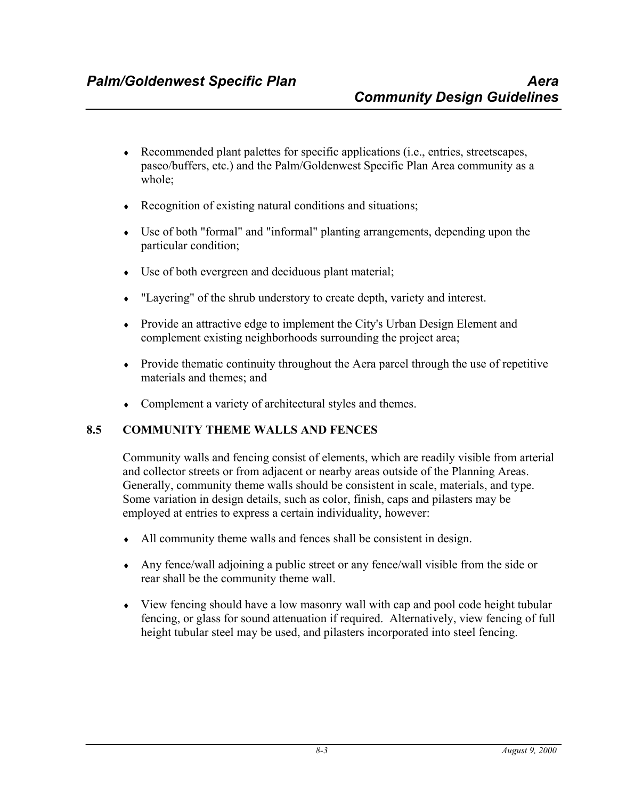- ♦ Recommended plant palettes for specific applications (i.e., entries, streetscapes, paseo/buffers, etc.) and the Palm/Goldenwest Specific Plan Area community as a whole;
- $\triangle$  Recognition of existing natural conditions and situations;
- ♦ Use of both "formal" and "informal" planting arrangements, depending upon the particular condition;
- ♦ Use of both evergreen and deciduous plant material;
- ♦ "Layering" of the shrub understory to create depth, variety and interest.
- ♦ Provide an attractive edge to implement the City's Urban Design Element and complement existing neighborhoods surrounding the project area;
- $\bullet$  Provide thematic continuity throughout the Aera parcel through the use of repetitive materials and themes; and
- Complement a variety of architectural styles and themes.

## **8.5 COMMUNITY THEME WALLS AND FENCES**

Community walls and fencing consist of elements, which are readily visible from arterial and collector streets or from adjacent or nearby areas outside of the Planning Areas. Generally, community theme walls should be consistent in scale, materials, and type. Some variation in design details, such as color, finish, caps and pilasters may be employed at entries to express a certain individuality, however:

- ♦ All community theme walls and fences shall be consistent in design.
- ♦ Any fence/wall adjoining a public street or any fence/wall visible from the side or rear shall be the community theme wall.
- ♦ View fencing should have a low masonry wall with cap and pool code height tubular fencing, or glass for sound attenuation if required. Alternatively, view fencing of full height tubular steel may be used, and pilasters incorporated into steel fencing.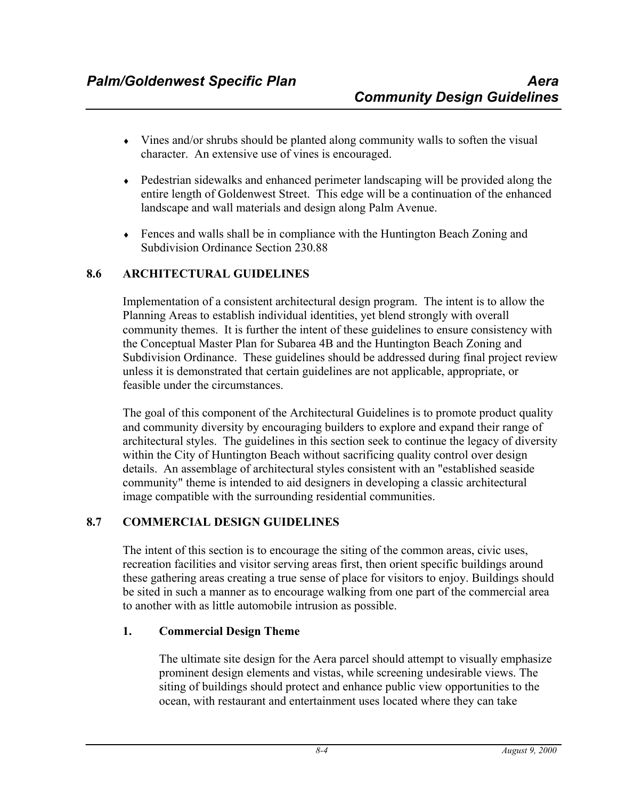- ♦ Vines and/or shrubs should be planted along community walls to soften the visual character. An extensive use of vines is encouraged.
- Pedestrian sidewalks and enhanced perimeter landscaping will be provided along the entire length of Goldenwest Street. This edge will be a continuation of the enhanced landscape and wall materials and design along Palm Avenue.
- ♦ Fences and walls shall be in compliance with the Huntington Beach Zoning and Subdivision Ordinance Section 230.88

#### **8.6 ARCHITECTURAL GUIDELINES**

Implementation of a consistent architectural design program. The intent is to allow the Planning Areas to establish individual identities, yet blend strongly with overall community themes. It is further the intent of these guidelines to ensure consistency with the Conceptual Master Plan for Subarea 4B and the Huntington Beach Zoning and Subdivision Ordinance. These guidelines should be addressed during final project review unless it is demonstrated that certain guidelines are not applicable, appropriate, or feasible under the circumstances.

The goal of this component of the Architectural Guidelines is to promote product quality and community diversity by encouraging builders to explore and expand their range of architectural styles. The guidelines in this section seek to continue the legacy of diversity within the City of Huntington Beach without sacrificing quality control over design details. An assemblage of architectural styles consistent with an "established seaside community" theme is intended to aid designers in developing a classic architectural image compatible with the surrounding residential communities.

## **8.7 COMMERCIAL DESIGN GUIDELINES**

The intent of this section is to encourage the siting of the common areas, civic uses, recreation facilities and visitor serving areas first, then orient specific buildings around these gathering areas creating a true sense of place for visitors to enjoy. Buildings should be sited in such a manner as to encourage walking from one part of the commercial area to another with as little automobile intrusion as possible.

#### **1. Commercial Design Theme**

The ultimate site design for the Aera parcel should attempt to visually emphasize prominent design elements and vistas, while screening undesirable views. The siting of buildings should protect and enhance public view opportunities to the ocean, with restaurant and entertainment uses located where they can take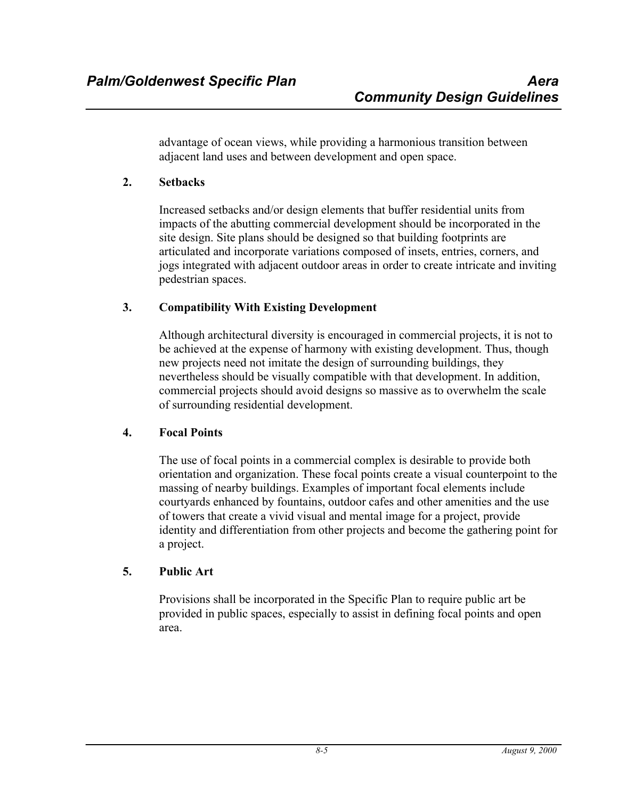advantage of ocean views, while providing a harmonious transition between adjacent land uses and between development and open space.

## **2. Setbacks**

Increased setbacks and/or design elements that buffer residential units from impacts of the abutting commercial development should be incorporated in the site design. Site plans should be designed so that building footprints are articulated and incorporate variations composed of insets, entries, corners, and jogs integrated with adjacent outdoor areas in order to create intricate and inviting pedestrian spaces.

#### **3. Compatibility With Existing Development**

Although architectural diversity is encouraged in commercial projects, it is not to be achieved at the expense of harmony with existing development. Thus, though new projects need not imitate the design of surrounding buildings, they nevertheless should be visually compatible with that development. In addition, commercial projects should avoid designs so massive as to overwhelm the scale of surrounding residential development.

## **4. Focal Points**

The use of focal points in a commercial complex is desirable to provide both orientation and organization. These focal points create a visual counterpoint to the massing of nearby buildings. Examples of important focal elements include courtyards enhanced by fountains, outdoor cafes and other amenities and the use of towers that create a vivid visual and mental image for a project, provide identity and differentiation from other projects and become the gathering point for a project.

## **5. Public Art**

Provisions shall be incorporated in the Specific Plan to require public art be provided in public spaces, especially to assist in defining focal points and open area.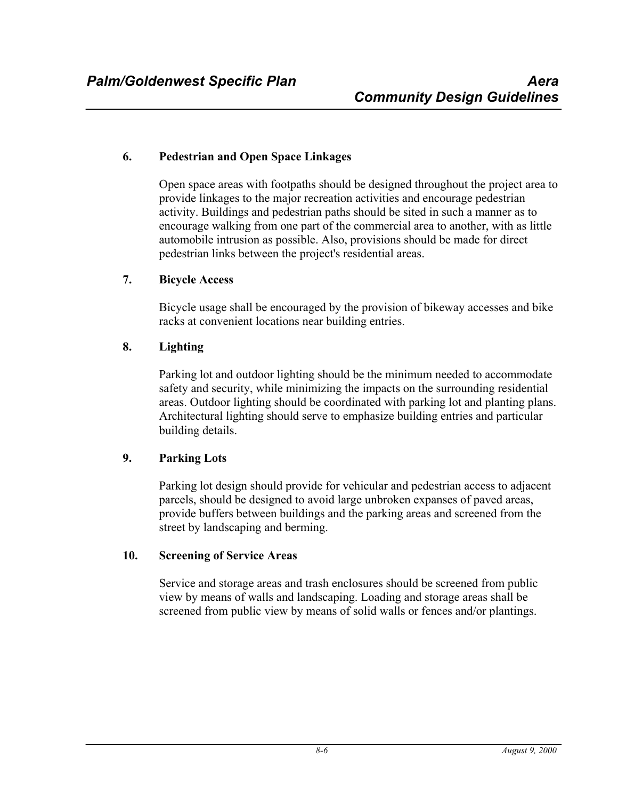#### **6. Pedestrian and Open Space Linkages**

Open space areas with footpaths should be designed throughout the project area to provide linkages to the major recreation activities and encourage pedestrian activity. Buildings and pedestrian paths should be sited in such a manner as to encourage walking from one part of the commercial area to another, with as little automobile intrusion as possible. Also, provisions should be made for direct pedestrian links between the project's residential areas.

#### **7. Bicycle Access**

Bicycle usage shall be encouraged by the provision of bikeway accesses and bike racks at convenient locations near building entries.

#### **8. Lighting**

Parking lot and outdoor lighting should be the minimum needed to accommodate safety and security, while minimizing the impacts on the surrounding residential areas. Outdoor lighting should be coordinated with parking lot and planting plans. Architectural lighting should serve to emphasize building entries and particular building details.

#### **9. Parking Lots**

Parking lot design should provide for vehicular and pedestrian access to adjacent parcels, should be designed to avoid large unbroken expanses of paved areas, provide buffers between buildings and the parking areas and screened from the street by landscaping and berming.

#### **10. Screening of Service Areas**

Service and storage areas and trash enclosures should be screened from public view by means of walls and landscaping. Loading and storage areas shall be screened from public view by means of solid walls or fences and/or plantings.